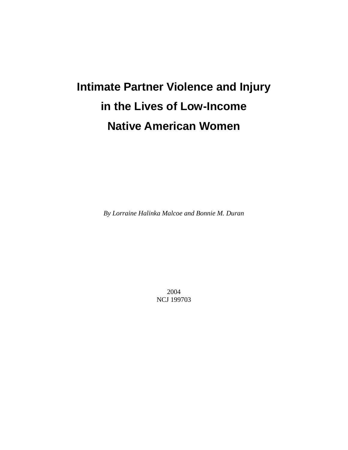# **Intimate Partner Violence and Injury in the Lives of Low-Income Native American Women**

*By Lorraine Halinka Malcoe and Bonnie M. Duran* 

2004 NCJ 199703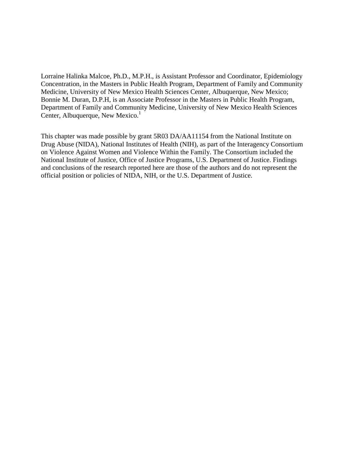Lorraine Halinka Malcoe, Ph.D., M.P.H., is Assistant Professor and Coordinator, Epidemiology Concentration, in the Masters in Public Health Program, Department of Family and Community Medicine, University of New Mexico Health Sciences Center, Albuquerque, New Mexico; Bonnie M. Duran, D.P.H, is an Associate Professor in the Masters in Public Health Program, Department of Family and Community Medicine, University of New Mexico Health Sciences Center, Albuquerque, New Mexico. $<sup>1</sup>$ </sup>

This chapter was made possible by grant 5R03 DA/AA11154 from the National Institute on Drug Abuse (NIDA), National Institutes of Health (NIH), as part of the Interagency Consortium on Violence Against Women and Violence Within the Family. The Consortium included the National Institute of Justice, Office of Justice Programs, U.S. Department of Justice. Findings and conclusions of the research reported here are those of the authors and do not represent the official position or policies of NIDA, NIH, or the U.S. Department of Justice.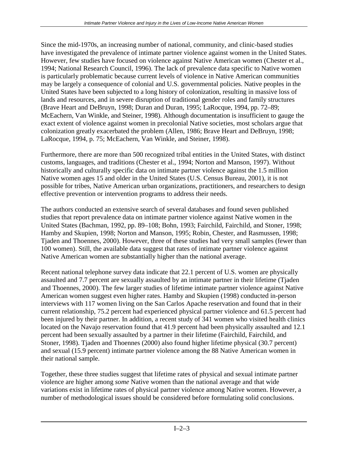Since the mid-1970s, an increasing number of national, community, and clinic-based studies have investigated the prevalence of intimate partner violence against women in the United States. However, few studies have focused on violence against Native American women (Chester et al., 1994; National Research Council, 1996). The lack of prevalence data specific to Native women is particularly problematic because current levels of violence in Native American communities may be largely a consequence of colonial and U.S. governmental policies. Native peoples in the United States have been subjected to a long history of colonization, resulting in massive loss of lands and resources, and in severe disruption of traditional gender roles and family structures (Brave Heart and DeBruyn, 1998; Duran and Duran, 1995; LaRocque, 1994, pp. 72–89; McEachern, Van Winkle, and Steiner, 1998). Although documentation is insufficient to gauge the exact extent of violence against women in precolonial Native societies, most scholars argue that colonization greatly exacerbated the problem (Allen, 1986; Brave Heart and DeBruyn, 1998; LaRocque, 1994, p. 75; McEachern, Van Winkle, and Steiner, 1998).

Furthermore, there are more than 500 recognized tribal entities in the United States, with distinct customs, languages, and traditions (Chester et al., 1994; Norton and Manson, 1997). Without historically and culturally specific data on intimate partner violence against the 1.5 million Native women ages 15 and older in the United States (U.S. Census Bureau, 2001), it is not possible for tribes, Native American urban organizations, practitioners, and researchers to design effective prevention or intervention programs to address their needs.

The authors conducted an extensive search of several databases and found seven published studies that report prevalence data on intimate partner violence against Native women in the United States (Bachman, 1992, pp. 89–108; Bohn, 1993; Fairchild, Fairchild, and Stoner, 1998; Hamby and Skupien, 1998; Norton and Manson, 1995; Robin, Chester, and Rasmussen, 1998; Tjaden and Thoennes, 2000). However, three of these studies had very small samples (fewer than 100 women). Still, the available data suggest that rates of intimate partner violence against Native American women are substantially higher than the national average.

Recent national telephone survey data indicate that 22.1 percent of U.S. women are physically assaulted and 7.7 percent are sexually assaulted by an intimate partner in their lifetime (Tjaden and Thoennes, 2000). The few larger studies of lifetime intimate partner violence against Native American women suggest even higher rates. Hamby and Skupien (1998) conducted in-person interviews with 117 women living on the San Carlos Apache reservation and found that in their current relationship, 75.2 percent had experienced physical partner violence and 61.5 percent had been injured by their partner. In addition, a recent study of 341 women who visited health clinics located on the Navajo reservation found that 41.9 percent had been physically assaulted and 12.1 percent had been sexually assaulted by a partner in their lifetime (Fairchild, Fairchild, and Stoner, 1998). Tjaden and Thoennes (2000) also found higher lifetime physical (30.7 percent) and sexual (15.9 percent) intimate partner violence among the 88 Native American women in their national sample.

Together, these three studies suggest that lifetime rates of physical and sexual intimate partner violence are higher among *some* Native women than the national average and that wide variations exist in lifetime rates of physical partner violence among Native women. However, a number of methodological issues should be considered before formulating solid conclusions.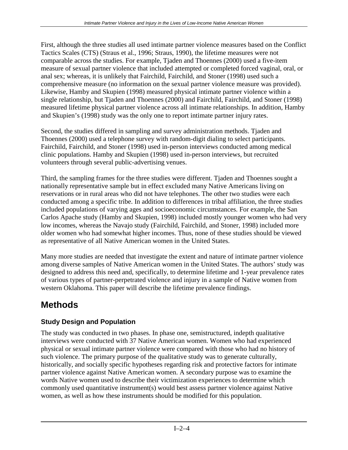First, although the three studies all used intimate partner violence measures based on the Conflict Tactics Scales (CTS) (Straus et al., 1996; Straus, 1990), the lifetime measures were not comparable across the studies. For example, Tjaden and Thoennes (2000) used a five-item measure of sexual partner violence that included attempted or completed forced vaginal, oral, or anal sex; whereas, it is unlikely that Fairchild, Fairchild, and Stoner (1998) used such a comprehensive measure (no information on the sexual partner violence measure was provided). Likewise, Hamby and Skupien (1998) measured physical intimate partner violence within a single relationship, but Tjaden and Thoennes (2000) and Fairchild, Fairchild, and Stoner (1998) measured lifetime physical partner violence across all intimate relationships. In addition, Hamby and Skupien's (1998) study was the only one to report intimate partner injury rates.

Second, the studies differed in sampling and survey administration methods. Tjaden and Thoennes (2000) used a telephone survey with random-digit dialing to select participants. Fairchild, Fairchild, and Stoner (1998) used in-person interviews conducted among medical clinic populations. Hamby and Skupien (1998) used in-person interviews, but recruited volunteers through several public-advertising venues.

Third, the sampling frames for the three studies were different. Tjaden and Thoennes sought a nationally representative sample but in effect excluded many Native Americans living on reservations or in rural areas who did not have telephones. The other two studies were each conducted among a specific tribe. In addition to differences in tribal affiliation, the three studies included populations of varying ages and socioeconomic circumstances. For example, the San Carlos Apache study (Hamby and Skupien, 1998) included mostly younger women who had very low incomes, whereas the Navajo study (Fairchild, Fairchild, and Stoner, 1998) included more older women who had somewhat higher incomes. Thus, none of these studies should be viewed as representative of all Native American women in the United States.

Many more studies are needed that investigate the extent and nature of intimate partner violence among diverse samples of Native American women in the United States. The authors' study was designed to address this need and, specifically, to determine lifetime and 1-year prevalence rates of various types of partner-perpetrated violence and injury in a sample of Native women from western Oklahoma. This paper will describe the lifetime prevalence findings.

# **Methods**

# **Study Design and Population**

The study was conducted in two phases. In phase one, semistructured, indepth qualitative interviews were conducted with 37 Native American women. Women who had experienced physical or sexual intimate partner violence were compared with those who had no history of such violence. The primary purpose of the qualitative study was to generate culturally, historically, and socially specific hypotheses regarding risk and protective factors for intimate partner violence against Native American women. A secondary purpose was to examine the words Native women used to describe their victimization experiences to determine which commonly used quantitative instrument(s) would best assess partner violence against Native women, as well as how these instruments should be modified for this population.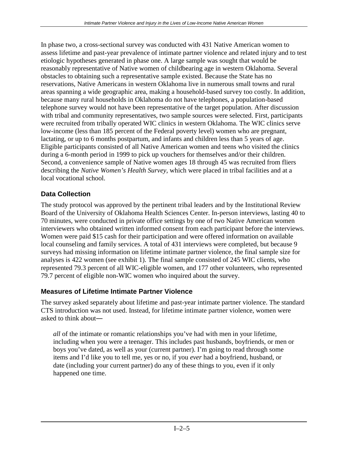In phase two, a cross-sectional survey was conducted with 431 Native American women to assess lifetime and past-year prevalence of intimate partner violence and related injury and to test etiologic hypotheses generated in phase one. A large sample was sought that would be reasonably representative of Native women of childbearing age in western Oklahoma. Several obstacles to obtaining such a representative sample existed. Because the State has no reservations, Native Americans in western Oklahoma live in numerous small towns and rural areas spanning a wide geographic area, making a household-based survey too costly. In addition, because many rural households in Oklahoma do not have telephones, a population-based telephone survey would not have been representative of the target population. After discussion with tribal and community representatives, two sample sources were selected. First, participants were recruited from tribally operated WIC clinics in western Oklahoma. The WIC clinics serve low-income (less than 185 percent of the Federal poverty level) women who are pregnant, lactating, or up to 6 months postpartum, and infants and children less than 5 years of age. Eligible participants consisted of all Native American women and teens who visited the clinics during a 6-month period in 1999 to pick up vouchers for themselves and/or their children. Second, a convenience sample of Native women ages 18 through 45 was recruited from fliers describing the *Native Women's Health Survey,* which were placed in tribal facilities and at a local vocational school.

### **Data Collection**

The study protocol was approved by the pertinent tribal leaders and by the Institutional Review Board of the University of Oklahoma Health Sciences Center. In-person interviews, lasting 40 to 70 minutes, were conducted in private office settings by one of two Native American women interviewers who obtained written informed consent from each participant before the interviews. Women were paid \$15 cash for their participation and were offered information on available local counseling and family services. A total of 431 interviews were completed, but because 9 surveys had missing information on lifetime intimate partner violence, the final sample size for analyses is 422 women (see exhibit 1). The final sample consisted of 245 WIC clients, who represented 79.3 percent of all WIC-eligible women, and 177 other volunteers, who represented 79.7 percent of eligible non-WIC women who inquired about the survey.

### **Measures of Lifetime Intimate Partner Violence**

The survey asked separately about lifetime and past-year intimate partner violence. The standard CTS introduction was not used. Instead, for lifetime intimate partner violence, women were asked to think about―

*all* of the intimate or romantic relationships you've had with men in your lifetime, including when you were a teenager. This includes past husbands, boyfriends, or men or boys you've dated, as well as your (current partner). I'm going to read through some items and I'd like you to tell me, yes or no, if you *ever* had a boyfriend, husband, or date (including your current partner) do any of these things to you, even if it only happened one time.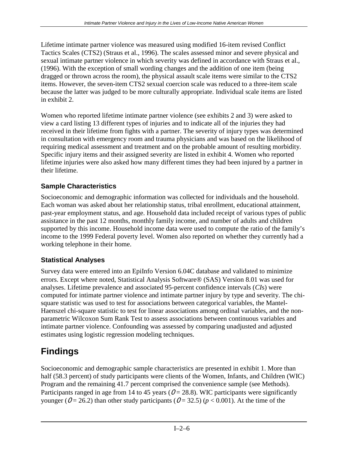Lifetime intimate partner violence was measured using modified 16-item revised Conflict Tactics Scales (CTS2) (Straus et al., 1996). The scales assessed minor and severe physical and sexual intimate partner violence in which severity was defined in accordance with Straus et al., (1996). With the exception of small wording changes and the addition of one item (being dragged or thrown across the room), the physical assault scale items were similar to the CTS2 items. However, the seven-item CTS2 sexual coercion scale was reduced to a three-item scale because the latter was judged to be more culturally appropriate. Individual scale items are listed in exhibit 2.

Women who reported lifetime intimate partner violence (see exhibits 2 and 3) were asked to view a card listing 13 different types of injuries and to indicate all of the injuries they had received in their lifetime from fights with a partner. The severity of injury types was determined in consultation with emergency room and trauma physicians and was based on the likelihood of requiring medical assessment and treatment and on the probable amount of resulting morbidity. Specific injury items and their assigned severity are listed in exhibit 4. Women who reported lifetime injuries were also asked how many different times they had been injured by a partner in their lifetime.

### **Sample Characteristics**

Socioeconomic and demographic information was collected for individuals and the household. Each woman was asked about her relationship status, tribal enrollment, educational attainment, past-year employment status, and age. Household data included receipt of various types of public assistance in the past 12 months, monthly family income, and number of adults and children supported by this income. Household income data were used to compute the ratio of the family's income to the 1999 Federal poverty level. Women also reported on whether they currently had a working telephone in their home.

# **Statistical Analyses**

Survey data were entered into an EpiInfo Version 6.04C database and validated to minimize errors. Except where noted, Statistical Analysis Software® (SAS) Version 8.01 was used for analyses. Lifetime prevalence and associated 95-percent confidence intervals (*CI*s) were computed for intimate partner violence and intimate partner injury by type and severity. The chisquare statistic was used to test for associations between categorical variables, the Mantel-Haenszel chi-square statistic to test for linear associations among ordinal variables, and the nonparametric Wilcoxon Sum Rank Test to assess associations between continuous variables and intimate partner violence. Confounding was assessed by comparing unadjusted and adjusted estimates using logistic regression modeling techniques.

# **Findings**

Socioeconomic and demographic sample characteristics are presented in exhibit 1. More than half (58.3 percent) of study participants were clients of the Women, Infants, and Children (WIC) Program and the remaining 41.7 percent comprised the convenience sample (see Methods). Participants ranged in age from 14 to 45 years ( $O = 28.8$ ). WIC participants were significantly younger ( $O = 26.2$ ) than other study participants ( $O = 32.5$ ) ( $p < 0.001$ ). At the time of the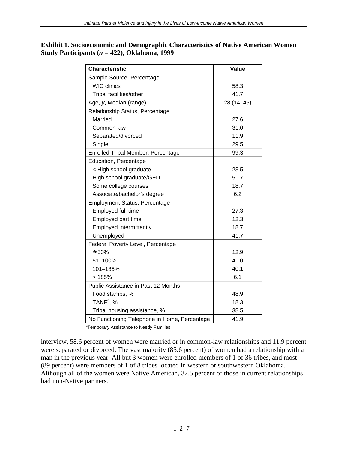| <b>Exhibit 1. Socioeconomic and Demographic Characteristics of Native American Women</b> |
|------------------------------------------------------------------------------------------|
| Study Participants ( $n = 422$ ), Oklahoma, 1999                                         |

| <b>Characteristic</b>                        | Value      |
|----------------------------------------------|------------|
| Sample Source, Percentage                    |            |
| <b>WIC clinics</b>                           | 58.3       |
| Tribal facilities/other                      | 41.7       |
| Age, y, Median (range)                       | 28 (14-45) |
| Relationship Status, Percentage              |            |
| Married                                      | 27.6       |
| Common law                                   | 31.0       |
| Separated/divorced                           | 11.9       |
| Single                                       | 29.5       |
| <b>Enrolled Tribal Member, Percentage</b>    | 99.3       |
| Education, Percentage                        |            |
| < High school graduate                       | 23.5       |
| High school graduate/GED                     | 51.7       |
| Some college courses                         | 18.7       |
| Associate/bachelor's degree                  | 6.2        |
| <b>Employment Status, Percentage</b>         |            |
| Employed full time                           | 27.3       |
| Employed part time                           | 12.3       |
| Employed intermittently                      | 18.7       |
| Unemployed                                   | 41.7       |
| Federal Poverty Level, Percentage            |            |
| # 50%                                        | 12.9       |
| 51-100%                                      | 41.0       |
| 101-185%                                     | 40.1       |
| >185%                                        | 6.1        |
| Public Assistance in Past 12 Months          |            |
| Food stamps, %                               | 48.9       |
| TAN $F^a$ , %                                | 18.3       |
| Tribal housing assistance, %                 | 38.5       |
| No Functioning Telephone in Home, Percentage | 41.9       |

<sup>a</sup>Temporary Assistance to Needy Families.

interview, 58.6 percent of women were married or in common-law relationships and 11.9 percent were separated or divorced. The vast majority (85.6 percent) of women had a relationship with a man in the previous year. All but 3 women were enrolled members of 1 of 36 tribes, and most (89 percent) were members of 1 of 8 tribes located in western or southwestern Oklahoma. Although all of the women were Native American, 32.5 percent of those in current relationships had non-Native partners.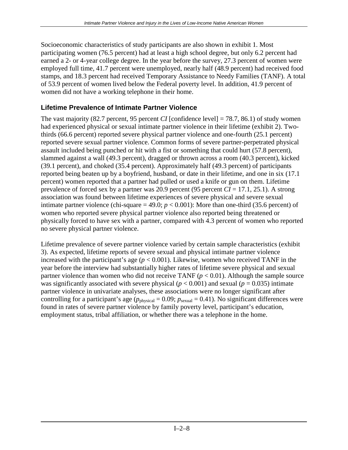Socioeconomic characteristics of study participants are also shown in exhibit 1. Most participating women (76.5 percent) had at least a high school degree, but only 6.2 percent had earned a 2- or 4-year college degree. In the year before the survey, 27.3 percent of women were employed full time, 41.7 percent were unemployed, nearly half (48.9 percent) had received food stamps, and 18.3 percent had received Temporary Assistance to Needy Families (TANF). A total of 53.9 percent of women lived below the Federal poverty level. In addition, 41.9 percent of women did not have a working telephone in their home.

### **Lifetime Prevalence of Intimate Partner Violence**

The vast majority (82.7 percent, 95 percent *CI* [confidence level] = 78.7, 86.1) of study women had experienced physical or sexual intimate partner violence in their lifetime (exhibit 2). Twothirds (66.6 percent) reported severe physical partner violence and one-fourth (25.1 percent) reported severe sexual partner violence. Common forms of severe partner-perpetrated physical assault included being punched or hit with a fist or something that could hurt (57.8 percent), slammed against a wall (49.3 percent), dragged or thrown across a room (40.3 percent), kicked (39.1 percent), and choked (35.4 percent). Approximately half (49.3 percent) of participants reported being beaten up by a boyfriend, husband, or date in their lifetime, and one in six (17.1 percent) women reported that a partner had pulled or used a knife or gun on them. Lifetime prevalence of forced sex by a partner was 20.9 percent (95 percent  $CI = 17.1$ , 25.1). A strong association was found between lifetime experiences of severe physical and severe sexual intimate partner violence (chi-square  $= 49.0$ ;  $p < 0.001$ ): More than one-third (35.6 percent) of women who reported severe physical partner violence also reported being threatened or physically forced to have sex with a partner, compared with 4.3 percent of women who reported no severe physical partner violence.

Lifetime prevalence of severe partner violence varied by certain sample characteristics (exhibit 3). As expected, lifetime reports of severe sexual and physical intimate partner violence increased with the participant's age  $(p < 0.001)$ . Likewise, women who received TANF in the year before the interview had substantially higher rates of lifetime severe physical and sexual partner violence than women who did not receive TANF  $(p < 0.01)$ . Although the sample source was significantly associated with severe physical ( $p < 0.001$ ) and sexual ( $p = 0.035$ ) intimate partner violence in univariate analyses, these associations were no longer significant after controlling for a participant's age ( $p_{\text{physical}} = 0.09$ ;  $p_{\text{sexual}} = 0.41$ ). No significant differences were found in rates of severe partner violence by family poverty level, participant's education, employment status, tribal affiliation, or whether there was a telephone in the home.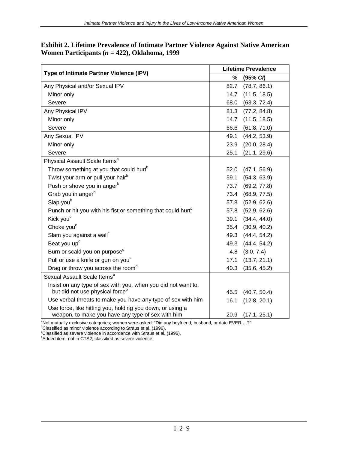| Type of Intimate Partner Violence (IPV)                                                                        | <b>Lifetime Prevalence</b> |                   |  |
|----------------------------------------------------------------------------------------------------------------|----------------------------|-------------------|--|
|                                                                                                                | %                          | (95% C)           |  |
| Any Physical and/or Sexual IPV                                                                                 | 82.7                       | (78.7, 86.1)      |  |
| Minor only                                                                                                     | 14.7                       | (11.5, 18.5)      |  |
| Severe                                                                                                         | 68.0                       | (63.3, 72.4)      |  |
| Any Physical IPV                                                                                               | 81.3                       | (77.2, 84.8)      |  |
| Minor only                                                                                                     | 14.7                       | (11.5, 18.5)      |  |
| Severe                                                                                                         | 66.6                       | (61.8, 71.0)      |  |
| Any Sexual IPV                                                                                                 | 49.1                       | (44.2, 53.9)      |  |
| Minor only                                                                                                     | 23.9                       | (20.0, 28.4)      |  |
| Severe                                                                                                         | 25.1                       | (21.1, 29.6)      |  |
| Physical Assault Scale Items <sup>a</sup>                                                                      |                            |                   |  |
| Throw something at you that could hurt <sup>b</sup>                                                            | 52.0                       | (47.1, 56.9)      |  |
| Twist your arm or pull your hair <sup>b</sup>                                                                  | 59.1                       | (54.3, 63.9)      |  |
| Push or shove you in anger <sup>b</sup>                                                                        | 73.7                       | (69.2, 77.8)      |  |
| Grab you in anger <sup>b</sup>                                                                                 | 73.4                       | (68.9, 77.5)      |  |
| Slap youb                                                                                                      | 57.8                       | (52.9, 62.6)      |  |
| Punch or hit you with his fist or something that could hurt <sup>c</sup>                                       | 57.8                       | (52.9, 62.6)      |  |
| Kick you <sup>c</sup>                                                                                          | 39.1                       | (34.4, 44.0)      |  |
| Choke you <sup>c</sup>                                                                                         |                            | 35.4 (30.9, 40.2) |  |
| Slam you against a wall <sup>c</sup>                                                                           | 49.3                       | (44.4, 54.2)      |  |
| Beat you up <sup>c</sup>                                                                                       |                            | 49.3 (44.4, 54.2) |  |
| Burn or scald you on purpose <sup>c</sup>                                                                      | 4.8                        | (3.0, 7.4)        |  |
| Pull or use a knife or gun on you <sup>c</sup>                                                                 | 17.1                       | (13.7, 21.1)      |  |
| Drag or throw you across the room <sup>d</sup>                                                                 | 40.3                       | (35.6, 45.2)      |  |
| Sexual Assault Scale Items <sup>a</sup>                                                                        |                            |                   |  |
| Insist on any type of sex with you, when you did not want to,                                                  |                            |                   |  |
| but did not use physical force <sup>b</sup>                                                                    | 45.5                       | (40.7, 50.4)      |  |
| Use verbal threats to make you have any type of sex with him                                                   | 16.1                       | (12.8, 20.1)      |  |
| Use force, like hitting you, holding you down, or using a<br>weapon, to make you have any type of sex with him | 20.9                       | (17.1, 25.1)      |  |

#### **Exhibit 2. Lifetime Prevalence of Intimate Partner Violence Against Native American Women Participants (***n* **= 422), Oklahoma, 1999**

Weapon, to make you have any type of sex with him \_\_\_\_\_\_\_\_\_\_\_\_\_\_\_\_\_\_\_\_\_\_\_\_\_\_\_\_\_\_<br><sup>a</sup>Not mutually exclusive categories; women were asked: "Did any boyfriend, husband, or date EVER …?"

<sup>b</sup>Classified as minor violence according to Straus et al. (1996).<br>
<sup>c</sup>Classified as severe violence in accordance with Straus et al. (1996).<br>
<sup>d</sup>Added item; not in CTS2; classified as severe violence.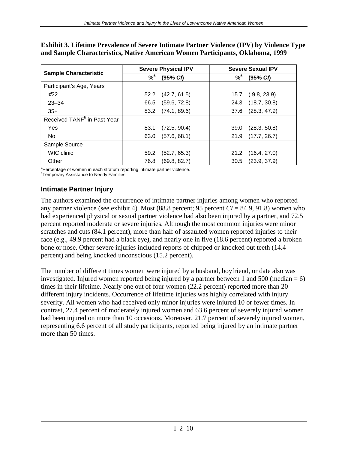|                                         | <b>Severe Physical IPV</b> |              |                  | <b>Severe Sexual IPV</b> |  |
|-----------------------------------------|----------------------------|--------------|------------------|--------------------------|--|
| <b>Sample Characteristic</b>            | $%$ <sup>a</sup>           | (95% C)      | $%$ <sup>a</sup> | (95% C)                  |  |
| Participant's Age, Years                |                            |              |                  |                          |  |
| #22                                     | 52.2                       | (42.7, 61.5) | 15.7             | (9.8, 23.9)              |  |
| $23 - 34$                               | 66.5                       | (59.6, 72.8) | 24.3             | (18.7, 30.8)             |  |
| $35+$                                   | 83.2                       | (74.1, 89.6) | 37.6             | (28.3, 47.9)             |  |
| Received TANF <sup>b</sup> in Past Year |                            |              |                  |                          |  |
| <b>Yes</b>                              | 83.1                       | (72.5, 90.4) | 39.0             | (28.3, 50.8)             |  |
| No.                                     | 63.0                       | (57.6, 68.1) | 21.9             | (17.7, 26.7)             |  |
| Sample Source                           |                            |              |                  |                          |  |
| WIC clinic                              | 59.2                       | (52.7, 65.3) | 21.2             | (16.4, 27.0)             |  |
| Other                                   | 76.8                       | (69.8, 82.7) | 30.5             | (23.9, 37.9)             |  |

**Exhibit 3. Lifetime Prevalence of Severe Intimate Partner Violence (IPV) by Violence Type and Sample Characteristics, Native American Women Participants, Oklahoma, 1999** 

<sup>a</sup>Percentage of women in each stratum reporting intimate partner violence.

<sup>b</sup> Temporary Assistance to Needy Families.

#### **Intimate Partner Injury**

The authors examined the occurrence of intimate partner injuries among women who reported any partner violence (see exhibit 4). Most (88.8 percent; 95 percent *CI* = 84.9, 91.8) women who had experienced physical or sexual partner violence had also been injured by a partner, and 72.5 percent reported moderate or severe injuries. Although the most common injuries were minor scratches and cuts (84.1 percent), more than half of assaulted women reported injuries to their face (e.g., 49.9 percent had a black eye), and nearly one in five (18.6 percent) reported a broken bone or nose. Other severe injuries included reports of chipped or knocked out teeth (14.4 percent) and being knocked unconscious (15.2 percent).

The number of different times women were injured by a husband, boyfriend, or date also was investigated. Injured women reported being injured by a partner between 1 and 500 (median  $= 6$ ) times in their lifetime. Nearly one out of four women (22.2 percent) reported more than 20 different injury incidents. Occurrence of lifetime injuries was highly correlated with injury severity. All women who had received only minor injuries were injured 10 or fewer times. In contrast, 27.4 percent of moderately injured women and 63.6 percent of severely injured women had been injured on more than 10 occasions. Moreover, 21.7 percent of severely injured women, representing 6.6 percent of all study participants, reported being injured by an intimate partner more than 50 times.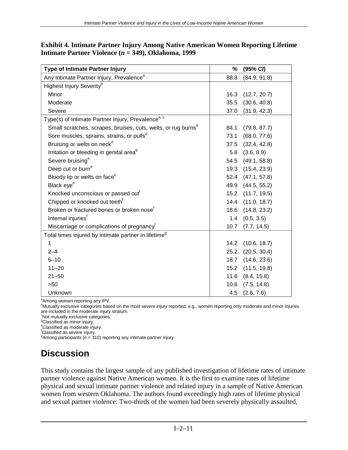| <b>Type of Intimate Partner Injury</b>                                    | %    | (95% C)      |
|---------------------------------------------------------------------------|------|--------------|
| Any Intimate Partner Injury, Prevalence <sup>a</sup>                      | 88.8 | (84.9, 91.8) |
| Highest Injury Severity <sup>b</sup>                                      |      |              |
| Minor                                                                     | 16.3 | (12.7, 20.7) |
| Moderate                                                                  | 35.5 | (30.6, 40.8) |
| Severe                                                                    | 37.0 | (31.9, 42.3) |
| Type(s) of Intimate Partner Injury, Prevalence <sup>a, c</sup>            |      |              |
| Small scratches, scrapes, bruises, cuts, welts, or rug burns <sup>d</sup> | 84.1 | (79.8, 87.7) |
| Sore muscles, sprains, strains, or pulls <sup>d</sup>                     | 73.1 | (68.0, 77.6) |
| Bruising or welts on neck <sup>d</sup>                                    | 37.5 | (32.4, 42.8) |
| Irritation or bleeding in genital area <sup>d</sup>                       | 5.8  | (3.6, 8.9)   |
| Severe bruising <sup>e</sup>                                              | 54.5 | (49.1, 58.8) |
| Deep cut or burn <sup>e</sup>                                             | 19.3 | (15.4, 23.9) |
| Bloody lip or welts on face <sup>e</sup>                                  | 52.4 | (47.1, 57.8) |
| Black eye <sup>e</sup>                                                    | 49.9 | (44.5, 55.2) |
| Knocked unconscious or passed out <sup>t</sup>                            | 15.2 | (11.7, 19.5) |
| Chipped or knocked out teeth <sup>†</sup>                                 | 14.4 | (11.0, 18.7) |
| Broken or fractured bones or broken nose <sup>f</sup>                     | 18.6 | (14.8, 23.2) |
| Internal injuries <sup>f</sup>                                            | 1.4  | (0.5, 3.5)   |
| Miscarriage or complications of pregnancy <sup>t</sup>                    | 10.7 | (7.7, 14.5)  |
| Total times injured by intimate partner in lifetime <sup>9</sup>          |      |              |
| 1                                                                         | 14.2 | (10.6, 18.7) |
| $2 - 4$                                                                   | 25.2 | (20.5, 30.4) |
| $5 - 10$                                                                  | 18.7 | (14.6, 23.6) |
| $11 - 20$                                                                 | 15.2 | (11.5, 19.8) |
| $21 - 50$                                                                 | 11.6 | (8.4, 15.8)  |
| >50                                                                       | 10.6 | (7.5, 14.8)  |
| Unknown                                                                   | 4.5  | (2.6, 7.6)   |

| Exhibit 4. Intimate Partner Injury Among Native American Women Reporting Lifetime |  |
|-----------------------------------------------------------------------------------|--|
| Intimate Partner Violence ( $n = 349$ ), Oklahoma, 1999                           |  |

<sup>a</sup> Among women reporting any IPV.

<sup>b</sup>Mutually exclusive categories based on the most severe injury reported, e.g., women reporting only moderate and minor injuries are included in the moderate injury stratum.

c Not mutually exclusive categories.

<sup>d</sup>Classified as minor injury.

e Classified as moderate injury.

 $\frac{1}{2}$ Classified as severe injury.

<sup>9</sup> Among participants ( $n = 310$ ) reporting any intimate partner injury.

# **Discussion**

This study contains the largest sample of any published investigation of lifetime rates of intimate partner violence against Native American women. It is the first to examine rates of lifetime physical and sexual intimate partner violence and related injury in a sample of Native American women from western Oklahoma. The authors found exceedingly high rates of lifetime physical and sexual partner violence: Two-thirds of the women had been severely physically assaulted,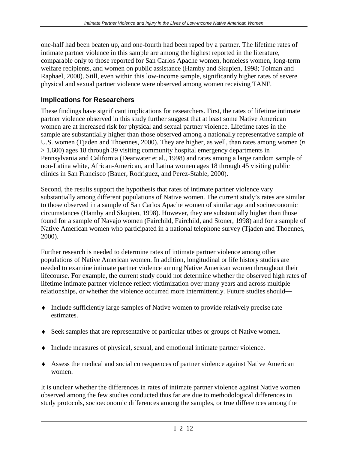one-half had been beaten up, and one-fourth had been raped by a partner. The lifetime rates of intimate partner violence in this sample are among the highest reported in the literature, comparable only to those reported for San Carlos Apache women, homeless women, long-term welfare recipients, and women on public assistance (Hamby and Skupien, 1998; Tolman and Raphael, 2000). Still, even within this low-income sample, significantly higher rates of severe physical and sexual partner violence were observed among women receiving TANF.

#### **Implications for Researchers**

These findings have significant implications for researchers. First, the rates of lifetime intimate partner violence observed in this study further suggest that at least some Native American women are at increased risk for physical and sexual partner violence. Lifetime rates in the sample are substantially higher than those observed among a nationally representative sample of U.S. women (Tjaden and Thoennes, 2000). They are higher, as well, than rates among women (*n*  > 1,600) ages 18 through 39 visiting community hospital emergency departments in Pennsylvania and California (Dearwater et al., 1998) and rates among a large random sample of non-Latina white, African-American, and Latina women ages 18 through 45 visiting public clinics in San Francisco (Bauer, Rodriguez, and Perez-Stable, 2000).

Second, the results support the hypothesis that rates of intimate partner violence vary substantially among different populations of Native women. The current study's rates are similar to those observed in a sample of San Carlos Apache women of similar age and socioeconomic circumstances (Hamby and Skupien, 1998). However, they are substantially higher than those found for a sample of Navajo women (Fairchild, Fairchild, and Stoner, 1998) and for a sample of Native American women who participated in a national telephone survey (Tjaden and Thoennes, 2000).

Further research is needed to determine rates of intimate partner violence among other populations of Native American women. In addition, longitudinal or life history studies are needed to examine intimate partner violence among Native American women throughout their lifecourse. For example, the current study could not determine whether the observed high rates of lifetime intimate partner violence reflect victimization over many years and across multiple relationships, or whether the violence occurred more intermittently. Future studies should―

- ♦ Include sufficiently large samples of Native women to provide relatively precise rate estimates.
- ♦ Seek samples that are representative of particular tribes or groups of Native women.
- ♦ Include measures of physical, sexual, and emotional intimate partner violence.
- ♦ Assess the medical and social consequences of partner violence against Native American women.

It is unclear whether the differences in rates of intimate partner violence against Native women observed among the few studies conducted thus far are due to methodological differences in study protocols, socioeconomic differences among the samples, or true differences among the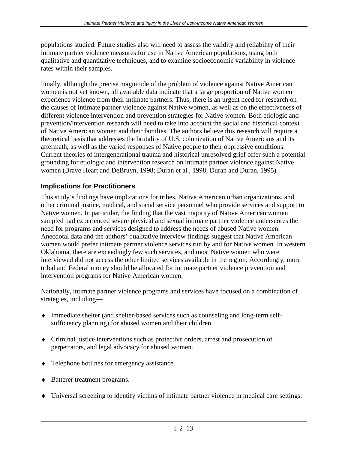populations studied. Future studies also will need to assess the validity and reliability of their intimate partner violence measures for use in Native American populations, using both qualitative and quantitative techniques, and to examine socioeconomic variability in violence rates within their samples.

Finally, although the precise magnitude of the problem of violence against Native American women is not yet known, all available data indicate that a large proportion of Native women experience violence from their intimate partners. Thus, there is an urgent need for research on the causes of intimate partner violence against Native women, as well as on the effectiveness of different violence intervention and prevention strategies for Native women. Both etiologic and prevention/intervention research will need to take into account the social and historical context of Native American women and their families. The authors believe this research will require a theoretical basis that addresses the brutality of U.S. colonization of Native Americans and its aftermath, as well as the varied responses of Native people to their oppressive conditions. Current theories of intergenerational trauma and historical unresolved grief offer such a potential grounding for etiologic and intervention research on intimate partner violence against Native women (Brave Heart and DeBruyn, 1998; Duran et al., 1998; Duran and Duran, 1995).

#### **Implications for Practitioners**

This study's findings have implications for tribes, Native American urban organizations, and other criminal justice, medical, and social service personnel who provide services and support to Native women. In particular, the finding that the vast majority of Native American women sampled had experienced severe physical and sexual intimate partner violence underscores the need for programs and services designed to address the needs of abused Native women. Anecdotal data and the authors' qualitative interview findings suggest that Native American women would prefer intimate partner violence services run by and for Native women. In western Oklahoma, there are exceedingly few such services, and most Native women who were interviewed did not access the other limited services available in the region. Accordingly, more tribal and Federal money should be allocated for intimate partner violence prevention and intervention programs for Native American women.

Nationally, intimate partner violence programs and services have focused on a combination of strategies, including—

- ♦ Immediate shelter (and shelter-based services such as counseling and long-term selfsufficiency planning) for abused women and their children.
- ♦ Criminal justice interventions such as protective orders, arrest and prosecution of perpetrators, and legal advocacy for abused women.
- ♦ Telephone hotlines for emergency assistance.
- ♦ Batterer treatment programs.
- ♦ Universal screening to identify victims of intimate partner violence in medical care settings.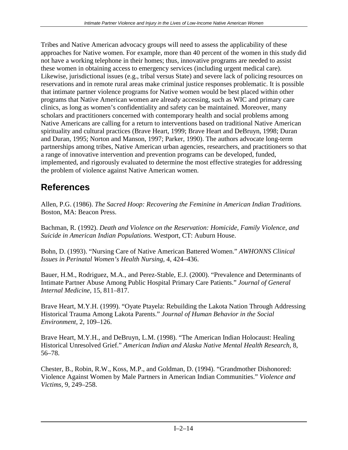Tribes and Native American advocacy groups will need to assess the applicability of these approaches for Native women. For example, more than 40 percent of the women in this study did not have a working telephone in their homes; thus, innovative programs are needed to assist these women in obtaining access to emergency services (including urgent medical care). Likewise, jurisdictional issues (e.g., tribal versus State) and severe lack of policing resources on reservations and in remote rural areas make criminal justice responses problematic. It is possible that intimate partner violence programs for Native women would be best placed within other programs that Native American women are already accessing, such as WIC and primary care clinics, as long as women's confidentiality and safety can be maintained. Moreover, many scholars and practitioners concerned with contemporary health and social problems among Native Americans are calling for a return to interventions based on traditional Native American spirituality and cultural practices (Brave Heart, 1999; Brave Heart and DeBruyn, 1998; Duran and Duran, 1995; Norton and Manson, 1997; Parker, 1990). The authors advocate long-term partnerships among tribes, Native American urban agencies, researchers, and practitioners so that a range of innovative intervention and prevention programs can be developed, funded, implemented, and rigorously evaluated to determine the most effective strategies for addressing the problem of violence against Native American women.

# **References**

Allen, P.G. (1986). *The Sacred Hoop: Recovering the Feminine in American Indian Traditions.*  Boston, MA: Beacon Press.

Bachman, R. (1992). *Death and Violence on the Reservation: Homicide, Family Violence, and Suicide in American Indian Populations.* Westport, CT: Auburn House.

Bohn, D. (1993). "Nursing Care of Native American Battered Women." *AWHONNS Clinical Issues in Perinatal Women's Health Nursing,* 4, 424–436.

Bauer, H.M., Rodriguez, M.A., and Perez-Stable, E.J. (2000). "Prevalence and Determinants of Intimate Partner Abuse Among Public Hospital Primary Care Patients." *Journal of General Internal Medicine,* 15, 811–817.

Brave Heart, M.Y.H. (1999). "Oyate Ptayela: Rebuilding the Lakota Nation Through Addressing Historical Trauma Among Lakota Parents." *Journal of Human Behavior in the Social Environment,* 2*,* 109–126.

Brave Heart, M.Y.H., and DeBruyn, L.M. (1998). "The American Indian Holocaust: Healing Historical Unresolved Grief." *American Indian and Alaska Native Mental Health Research,* 8, 56–78.

Chester, B., Robin, R.W., Koss, M.P., and Goldman, D. (1994). "Grandmother Dishonored: Violence Against Women by Male Partners in American Indian Communities." *Violence and Victims,* 9, 249–258.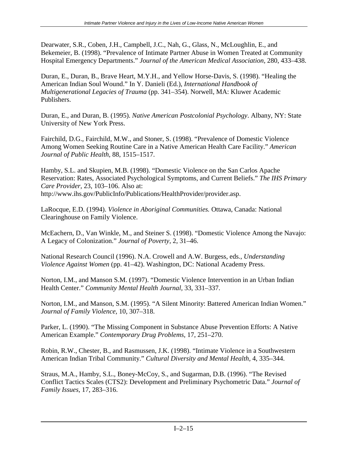Dearwater, S.R., Coben, J.H., Campbell, J.C., Nah, G., Glass, N., McLoughlin, E., and Bekemeier, B. (1998). "Prevalence of Intimate Partner Abuse in Women Treated at Community Hospital Emergency Departments." *Journal of the American Medical Association,* 280, 433–438.

Duran, E., Duran, B., Brave Heart, M.Y.H., and Yellow Horse-Davis, S. (1998). "Healing the American Indian Soul Wound." In Y. Danieli (Ed.), *International Handbook of Multigenerational Legacies of Trauma* (pp. 341–354). Norwell, MA: Kluwer Academic Publishers.

Duran, E., and Duran, B. (1995). *Native American Postcolonial Psychology*. Albany, NY: State University of New York Press.

Fairchild, D.G., Fairchild, M.W., and Stoner, S. (1998). "Prevalence of Domestic Violence Among Women Seeking Routine Care in a Native American Health Care Facility." *American Journal of Public Health,* 88, 1515–1517.

Hamby, S.L. and Skupien, M.B. (1998). "Domestic Violence on the San Carlos Apache Reservation: Rates, Associated Psychological Symptoms, and Current Beliefs." *The IHS Primary Care Provider,* 23, 103–106. Also at: http://www.ihs.gov/PublicInfo/Publications/HealthProvider/provider.asp.

LaRocque, E.D. (1994). *Violence in Aboriginal Communities.* Ottawa, Canada: National Clearinghouse on Family Violence.

McEachern, D., Van Winkle, M., and Steiner S. (1998). "Domestic Violence Among the Navajo: A Legacy of Colonization." *Journal of Poverty,* 2, 31–46.

National Research Council (1996). N.A. Crowell and A.W. Burgess, eds., *Understanding Violence Against Women* (pp. 41–42). Washington, DC: National Academy Press.

Norton, I.M., and Manson S.M. (1997). "Domestic Violence Intervention in an Urban Indian Health Center." *Community Mental Health Journal,* 33, 331–337.

Norton, I.M., and Manson, S.M. (1995). "A Silent Minority: Battered American Indian Women." *Journal of Family Violence,* 10, 307–318.

Parker, L. (1990). "The Missing Component in Substance Abuse Prevention Efforts: A Native American Example." *Contemporary Drug Problems,* 17, 251–270.

Robin, R.W., Chester, B., and Rasmussen, J.K. (1998). "Intimate Violence in a Southwestern American Indian Tribal Community." *Cultural Diversity and Mental Health,* 4, 335–344.

Straus, M.A., Hamby, S.L., Boney-McCoy, S., and Sugarman, D.B. (1996). "The Revised Conflict Tactics Scales (CTS2): Development and Preliminary Psychometric Data." *Journal of Family Issues,* 17, 283–316.